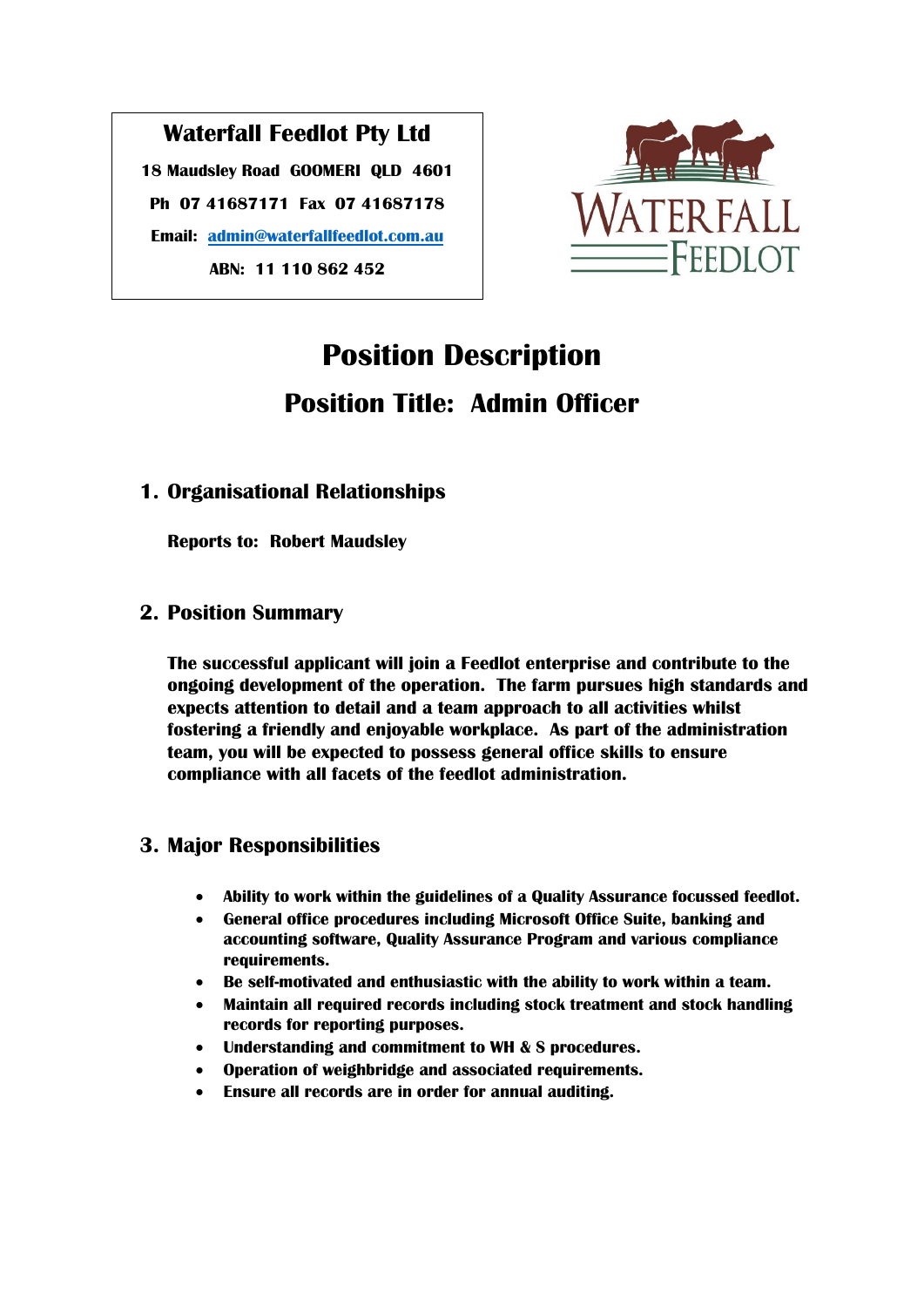## **Waterfall Feedlot Pty Ltd**

**18 Maudsley Road GOOMERI QLD 4601 Ph 07 41687171 Fax 07 41687178 Email: [admin@waterfallfeedlot.com.au](mailto:admin@waterfallfeedlot.com.au) ABN: 11 110 862 452**



# **Position Description Position Title: Admin Officer**

## **1. Organisational Relationships**

**Reports to: Robert Maudsley**

## **2. Position Summary**

**The successful applicant will join a Feedlot enterprise and contribute to the ongoing development of the operation. The farm pursues high standards and expects attention to detail and a team approach to all activities whilst fostering a friendly and enjoyable workplace. As part of the administration team, you will be expected to possess general office skills to ensure compliance with all facets of the feedlot administration.**

## **3. Major Responsibilities**

- **Ability to work within the guidelines of a Quality Assurance focussed feedlot.**
- **General office procedures including Microsoft Office Suite, banking and accounting software, Quality Assurance Program and various compliance requirements.**
- **Be self-motivated and enthusiastic with the ability to work within a team.**
- **Maintain all required records including stock treatment and stock handling records for reporting purposes.**
- **Understanding and commitment to WH & S procedures.**
- **Operation of weighbridge and associated requirements.**
- **Ensure all records are in order for annual auditing.**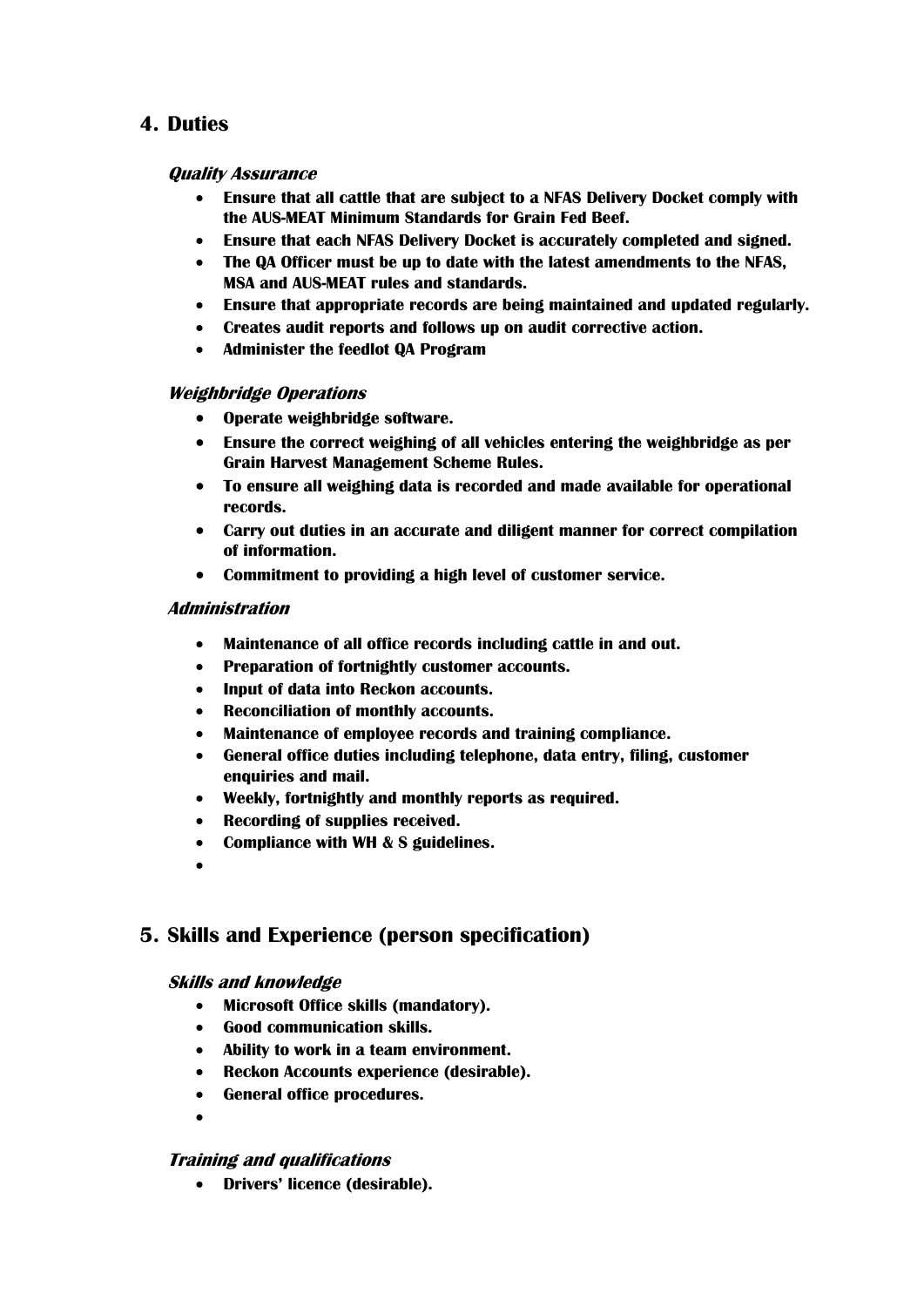## **4. Duties**

#### **Quality Assurance**

- **Ensure that all cattle that are subject to a NFAS Delivery Docket comply with the AUS-MEAT Minimum Standards for Grain Fed Beef.**
- **Ensure that each NFAS Delivery Docket is accurately completed and signed.**
- **The QA Officer must be up to date with the latest amendments to the NFAS, MSA and AUS-MEAT rules and standards.**
- **Ensure that appropriate records are being maintained and updated regularly.**
- **Creates audit reports and follows up on audit corrective action.**
- **Administer the feedlot QA Program**

#### **Weighbridge Operations**

- **Operate weighbridge software.**
- **Ensure the correct weighing of all vehicles entering the weighbridge as per Grain Harvest Management Scheme Rules.**
- **To ensure all weighing data is recorded and made available for operational records.**
- **Carry out duties in an accurate and diligent manner for correct compilation of information.**
- **Commitment to providing a high level of customer service.**

#### **Administration**

- **Maintenance of all office records including cattle in and out.**
- **Preparation of fortnightly customer accounts.**
- **Input of data into Reckon accounts.**
- **Reconciliation of monthly accounts.**
- **Maintenance of employee records and training compliance.**
- **General office duties including telephone, data entry, filing, customer enquiries and mail.**
- **Weekly, fortnightly and monthly reports as required.**
- **Recording of supplies received.**
- **Compliance with WH & S guidelines.**
- $\bullet$

## **5. Skills and Experience (person specification)**

#### **Skills and knowledge**

- **Microsoft Office skills (mandatory).**
- **Good communication skills.**
- **Ability to work in a team environment.**
- **Reckon Accounts experience (desirable).**
- **General office procedures.**
- $\bullet$

#### **Training and qualifications**

**Drivers' licence (desirable).**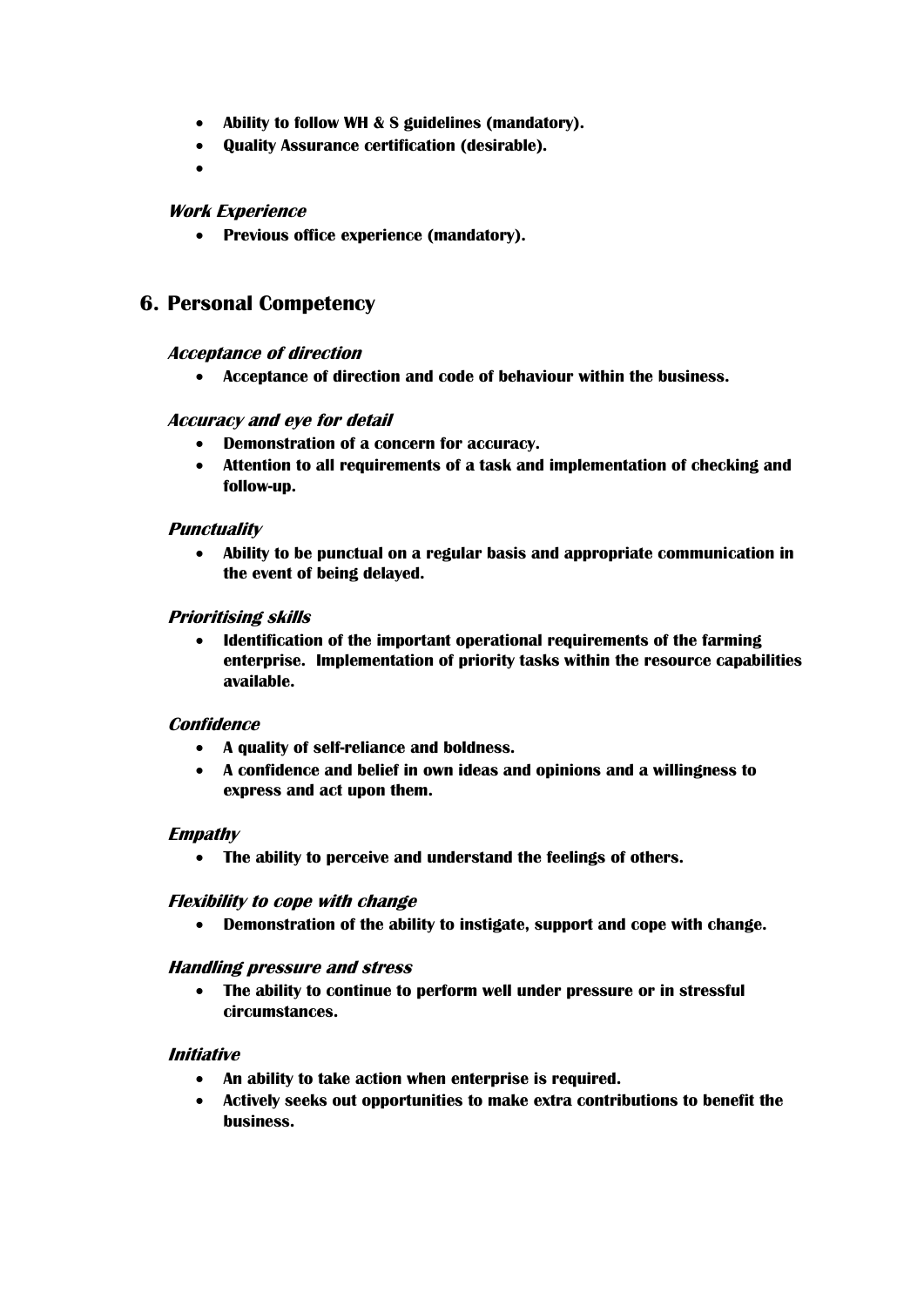- **Ability to follow WH & S guidelines (mandatory).**
- **Quality Assurance certification (desirable).**
- $\bullet$

#### **Work Experience**

**Previous office experience (mandatory).**

## **6. Personal Competency**

#### **Acceptance of direction**

**Acceptance of direction and code of behaviour within the business.**

#### **Accuracy and eye for detail**

- **Demonstration of a concern for accuracy.**
- **Attention to all requirements of a task and implementation of checking and follow-up.**

#### **Punctuality**

 **Ability to be punctual on a regular basis and appropriate communication in the event of being delayed.**

#### **Prioritising skills**

 **Identification of the important operational requirements of the farming enterprise. Implementation of priority tasks within the resource capabilities available.**

#### **Confidence**

- **A quality of self-reliance and boldness.**
- **A confidence and belief in own ideas and opinions and a willingness to express and act upon them.**

#### **Empathy**

**The ability to perceive and understand the feelings of others.**

#### **Flexibility to cope with change**

**Demonstration of the ability to instigate, support and cope with change.**

#### **Handling pressure and stress**

 **The ability to continue to perform well under pressure or in stressful circumstances.**

#### **Initiative**

- **An ability to take action when enterprise is required.**
- **Actively seeks out opportunities to make extra contributions to benefit the business.**